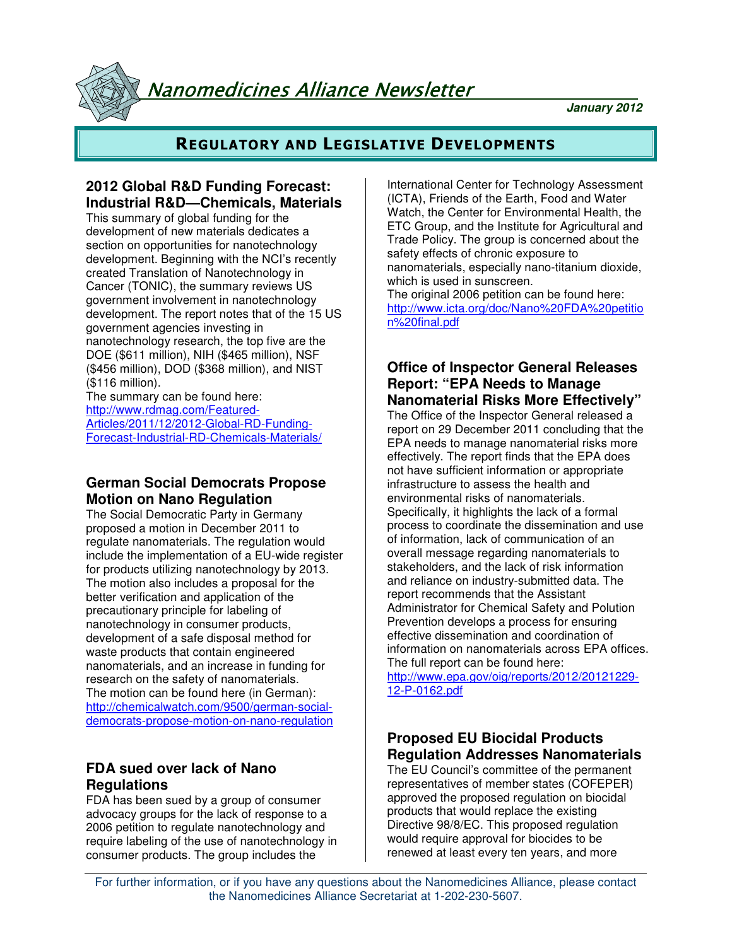Nanomedicines Alliance Newsletter

**January 2012**

# **REGULATORY AND LEGISLATIVE DEVELOPMENTS**

# **2012 Global R&D Funding Forecast: Industrial R&D—Chemicals, Materials**

This summary of global funding for the development of new materials dedicates a section on opportunities for nanotechnology development. Beginning with the NCI's recently created Translation of Nanotechnology in Cancer (TONIC), the summary reviews US government involvement in nanotechnology development. The report notes that of the 15 US government agencies investing in nanotechnology research, the top five are the DOE (\$611 million), NIH (\$465 million), NSF (\$456 million), DOD (\$368 million), and NIST (\$116 million).

The summary can be found here: http://www.rdmag.com/Featured-Articles/2011/12/2012-Global-RD-Funding-Forecast-Industrial-RD-Chemicals-Materials/

# **German Social Democrats Propose Motion on Nano Regulation**

The Social Democratic Party in Germany proposed a motion in December 2011 to regulate nanomaterials. The regulation would include the implementation of a EU-wide register for products utilizing nanotechnology by 2013. The motion also includes a proposal for the better verification and application of the precautionary principle for labeling of nanotechnology in consumer products, development of a safe disposal method for waste products that contain engineered nanomaterials, and an increase in funding for research on the safety of nanomaterials. The motion can be found here (in German): http://chemicalwatch.com/9500/german-socialdemocrats-propose-motion-on-nano-regulation

## **FDA sued over lack of Nano Regulations**

FDA has been sued by a group of consumer advocacy groups for the lack of response to a 2006 petition to regulate nanotechnology and require labeling of the use of nanotechnology in consumer products. The group includes the

International Center for Technology Assessment (ICTA), Friends of the Earth, Food and Water Watch, the Center for Environmental Health, the ETC Group, and the Institute for Agricultural and Trade Policy. The group is concerned about the safety effects of chronic exposure to nanomaterials, especially nano-titanium dioxide, which is used in sunscreen.

The original 2006 petition can be found here: http://www.icta.org/doc/Nano%20FDA%20petitio n%20final.pdf

## **Office of Inspector General Releases Report: "EPA Needs to Manage Nanomaterial Risks More Effectively"**

The Office of the Inspector General released a report on 29 December 2011 concluding that the EPA needs to manage nanomaterial risks more effectively. The report finds that the EPA does not have sufficient information or appropriate infrastructure to assess the health and environmental risks of nanomaterials. Specifically, it highlights the lack of a formal process to coordinate the dissemination and use of information, lack of communication of an overall message regarding nanomaterials to stakeholders, and the lack of risk information and reliance on industry-submitted data. The report recommends that the Assistant Administrator for Chemical Safety and Polution Prevention develops a process for ensuring effective dissemination and coordination of information on nanomaterials across EPA offices. The full report can be found here:

http://www.epa.gov/oig/reports/2012/20121229- 12-P-0162.pdf

## **Proposed EU Biocidal Products Regulation Addresses Nanomaterials**

The EU Council's committee of the permanent representatives of member states (COFEPER) approved the proposed regulation on biocidal products that would replace the existing Directive 98/8/EC. This proposed regulation would require approval for biocides to be renewed at least every ten years, and more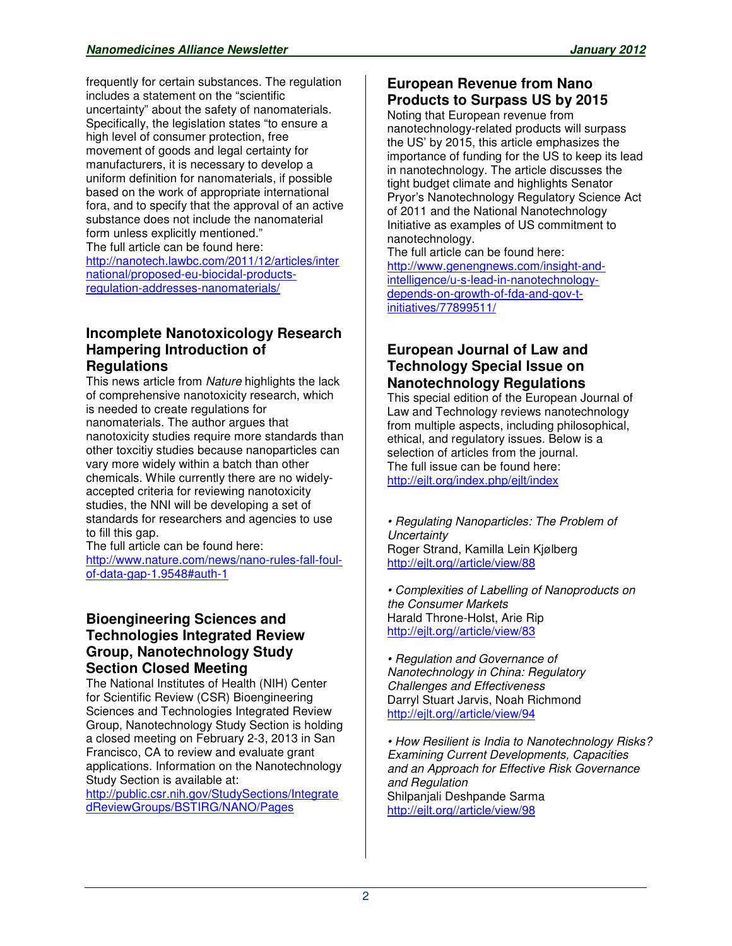frequently for certain substances. The regulation includes a statement on the "scientific uncertainty" about the safety of nanomaterials. Specifically, the legislation states "to ensure a high level of consumer protection, free movement of goods and legal certainty for manufacturers, it is necessary to develop a uniform definition for nanomaterials, if possible based on the work of appropriate international fora, and to specify that the approval of an active substance does not include the nanomaterial form unless explicitly mentioned." The full article can be found here: http://nanotech.lawbc.com/2011/12/articles/inter national/proposed-eu-biocidal-productsregulation-addresses-nanomaterials/

## **Incomplete Nanotoxicology Research Hampering Introduction of Regulations**

This news article from Nature highlights the lack of comprehensive nanotoxicity research, which is needed to create regulations for nanomaterials. The author argues that nanotoxicity studies require more standards than other toxcitiy studies because nanoparticles can vary more widely within a batch than other chemicals. While currently there are no widelyaccepted criteria for reviewing nanotoxicity studies, the NNI will be developing a set of standards for researchers and agencies to use to fill this gap.

The full article can be found here: http://www.nature.com/news/nano-rules-fall-foulof-data-gap-1.9548#auth-1

## **Bioengineering Sciences and Technologies Integrated Review Group, Nanotechnology Study Section Closed Meeting**

The National Institutes of Health (NIH) Center for Scientific Review (CSR) Bioengineering Sciences and Technologies Integrated Review Group, Nanotechnology Study Section is holding a closed meeting on February 2-3, 2013 in San Francisco, CA to review and evaluate grant applications. Information on the Nanotechnology Study Section is available at:

http://public.csr.nih.gov/StudySections/Integrate dReviewGroups/BSTIRG/NANO/Pages

## **European Revenue from Nano Products to Surpass US by 2015**

Noting that European revenue from nanotechnology-related products will surpass the US' by 2015, this article emphasizes the importance of funding for the US to keep its lead in nanotechnology. The article discusses the tight budget climate and highlights Senator Pryor's Nanotechnology Regulatory Science Act of 2011 and the National Nanotechnology Initiative as examples of US commitment to nanotechnology.

The full article can be found here: http://www.genengnews.com/insight-andintelligence/u-s-lead-in-nanotechnologydepends-on-growth-of-fda-and-gov-tinitiatives/77899511/

## **European Journal of Law and Technology Special Issue on Nanotechnology Regulations**

This special edition of the European Journal of Law and Technology reviews nanotechnology from multiple aspects, including philosophical, ethical, and regulatory issues. Below is a selection of articles from the journal. The full issue can be found here: http://ejlt.org/index.php/ejlt/index

• Regulating Nanoparticles: The Problem of **Uncertainty** Roger Strand, Kamilla Lein Kjølberg http://ejlt.org//article/view/88

• Complexities of Labelling of Nanoproducts on the Consumer Markets Harald Throne-Holst, Arie Rip http://ejlt.org//article/view/83

• Regulation and Governance of Nanotechnology in China: Regulatory Challenges and Effectiveness Darryl Stuart Jarvis, Noah Richmond http://ejlt.org//article/view/94

• How Resilient is India to Nanotechnology Risks? Examining Current Developments, Capacities and an Approach for Effective Risk Governance and Regulation Shilpanjali Deshpande Sarma http://ejlt.org//article/view/98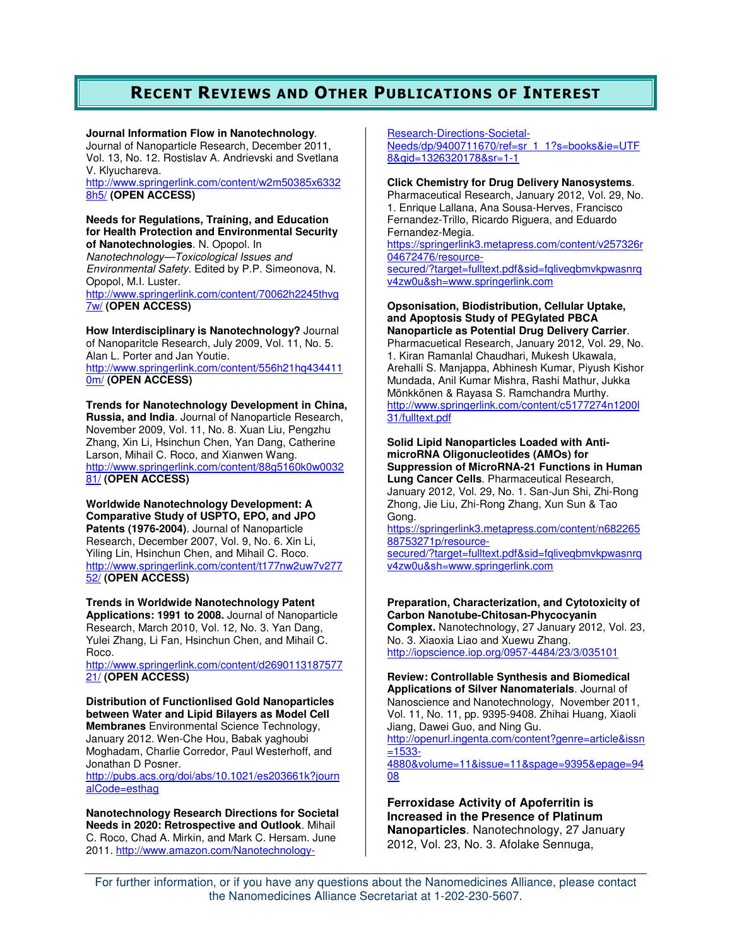# **RECENT REVIEWS AND OTHER PUBLICATIONS OF INTEREST**

**Journal Information Flow in Nanotechnology**.

Journal of Nanoparticle Research, December 2011, Vol. 13, No. 12. Rostislav A. Andrievski and Svetlana V. Klyuchareva.

http://www.springerlink.com/content/w2m50385x6332 8h5/ **(OPEN ACCESS)** 

**Needs for Regulations, Training, and Education for Health Protection and Environmental Security of Nanotechnologies**. N. Opopol. In Nanotechnology—Toxicological Issues and

Environmental Safety. Edited by P.P. Simeonova, N. Opopol, M.I. Luster. http://www.springerlink.com/content/70062h2245thvg

7w/ **(OPEN ACCESS)**

**How Interdisciplinary is Nanotechnology?** Journal of Nanoparitcle Research, July 2009, Vol. 11, No. 5. Alan L. Porter and Jan Youtie. http://www.springerlink.com/content/556h21hq434411 0m/ **(OPEN ACCESS)** 

**Trends for Nanotechnology Development in China, Russia, and India**. Journal of Nanoparticle Research, November 2009, Vol. 11, No. 8. Xuan Liu, Pengzhu Zhang, Xin Li, Hsinchun Chen, Yan Dang, Catherine Larson, Mihail C. Roco, and Xianwen Wang. http://www.springerlink.com/content/88g5160k0w0032 81/ **(OPEN ACCESS)**

**Worldwide Nanotechnology Development: A Comparative Study of USPTO, EPO, and JPO Patents (1976-2004)**. Journal of Nanoparticle Research, December 2007, Vol. 9, No. 6. Xin Li, Yiling Lin, Hsinchun Chen, and Mihail C. Roco. http://www.springerlink.com/content/t177nw2uw7v277 52/ **(OPEN ACCESS)** 

**Trends in Worldwide Nanotechnology Patent Applications: 1991 to 2008.** Journal of Nanoparticle Research, March 2010, Vol. 12, No. 3. Yan Dang, Yulei Zhang, Li Fan, Hsinchun Chen, and Mihail C. Roco.

http://www.springerlink.com/content/d2690113187577 21/ **(OPEN ACCESS)** 

**Distribution of Functionlised Gold Nanoparticles between Water and Lipid Bilayers as Model Cell Membranes** Environmental Science Technology, January 2012. Wen-Che Hou, Babak yaghoubi Moghadam, Charlie Corredor, Paul Westerhoff, and Jonathan D Posner.

http://pubs.acs.org/doi/abs/10.1021/es203661k?journ alCode=esthag

**Nanotechnology Research Directions for Societal Needs in 2020: Retrospective and Outlook**. Mihail C. Roco, Chad A. Mirkin, and Mark C. Hersam. June 2011. http://www.amazon.com/NanotechnologyResearch-Directions-Societal-Needs/dp/9400711670/ref=sr\_1\_1?s=books&ie=UTF 8&qid=1326320178&sr=1-1

**Click Chemistry for Drug Delivery Nanosystems**. Pharmaceutical Research, January 2012, Vol. 29, No. 1. Enrique Lallana, Ana Sousa-Herves, Francisco Fernandez-Trillo, Ricardo Riguera, and Eduardo Fernandez-Megia. https://springerlink3.metapress.com/content/v257326r

04672476/resourcesecured/?target=fulltext.pdf&sid=fqliveqbmvkpwasnrq

v4zw0u&sh=www.springerlink.com

#### **Opsonisation, Biodistribution, Cellular Uptake, and Apoptosis Study of PEGylated PBCA Nanoparticle as Potential Drug Delivery Carrier**.

Pharmacuetical Research, January 2012, Vol. 29, No. 1. Kiran Ramanlal Chaudhari, Mukesh Ukawala, Arehalli S. Manjappa, Abhinesh Kumar, Piyush Kishor Mundada, Anil Kumar Mishra, Rashi Mathur, Jukka Mönkkönen & Rayasa S. Ramchandra Murthy. http://www.springerlink.com/content/c5177274n1200l 31/fulltext.pdf

**Solid Lipid Nanoparticles Loaded with AntimicroRNA Oligonucleotides (AMOs) for Suppression of MicroRNA-21 Functions in Human Lung Cancer Cells**. Pharmaceutical Research, January 2012, Vol. 29, No. 1. San-Jun Shi, Zhi-Rong Zhong, Jie Liu, Zhi-Rong Zhang, Xun Sun & Tao Gong.

https://springerlink3.metapress.com/content/n682265 88753271p/resourcesecured/?target=fulltext.pdf&sid=fqliveqbmvkpwasnrq

v4zw0u&sh=www.springerlink.com

#### **Preparation, Characterization, and Cytotoxicity of Carbon Nanotube-Chitosan-Phycocyanin**

**Complex.** Nanotechnology, 27 January 2012, Vol. 23, No. 3. Xiaoxia Liao and Xuewu Zhang. http://iopscience.iop.org/0957-4484/23/3/035101

**Review: Controllable Synthesis and Biomedical Applications of Silver Nanomaterials**. Journal of Nanoscience and Nanotechnology, November 2011, Vol. 11, No. 11, pp. 9395-9408. Zhihai Huang, Xiaoli Jiang, Dawei Guo, and Ning Gu. http://openurl.ingenta.com/content?genre=article&issn =1533- 4880&volume=11&issue=11&spage=9395&epage=94 08

**Ferroxidase Activity of Apoferritin is Increased in the Presence of Platinum Nanoparticles**. Nanotechnology, 27 January 2012, Vol. 23, No. 3. Afolake Sennuga,

For further information, or if you have any questions about the Nanomedicines Alliance, please contact the Nanomedicines Alliance Secretariat at 1-202-230-5607.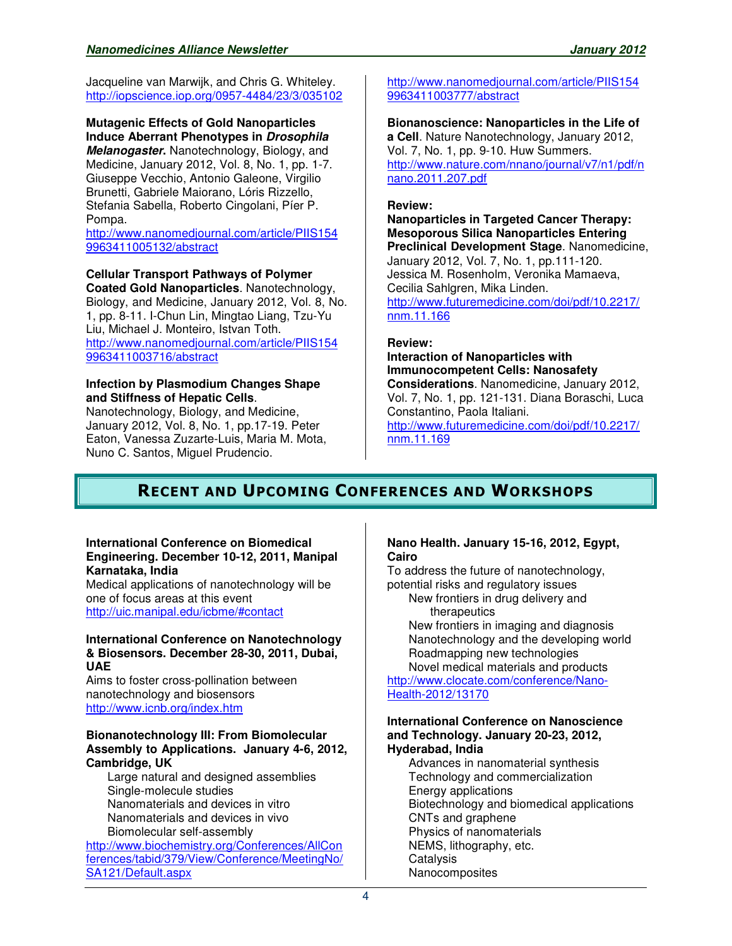Jacqueline van Marwijk, and Chris G. Whiteley. http://iopscience.iop.org/0957-4484/23/3/035102

**Mutagenic Effects of Gold Nanoparticles Induce Aberrant Phenotypes in Drosophila Melanogaster.** Nanotechnology, Biology, and Medicine, January 2012, Vol. 8, No. 1, pp. 1-7. Giuseppe Vecchio, Antonio Galeone, Virgilio Brunetti, Gabriele Maiorano, Lóris Rizzello, Stefania Sabella, Roberto Cingolani, Píer P. Pompa.

http://www.nanomedjournal.com/article/PIIS154 9963411005132/abstract

## **Cellular Transport Pathways of Polymer**

**Coated Gold Nanoparticles**. Nanotechnology, Biology, and Medicine, January 2012, Vol. 8, No. 1, pp. 8-11. I-Chun Lin, Mingtao Liang, Tzu-Yu Liu, Michael J. Monteiro, Istvan Toth. http://www.nanomedjournal.com/article/PIIS154 9963411003716/abstract

#### **Infection by Plasmodium Changes Shape and Stiffness of Hepatic Cells**.

Nanotechnology, Biology, and Medicine, January 2012, Vol. 8, No. 1, pp.17-19. Peter Eaton, Vanessa Zuzarte-Luis, Maria M. Mota, Nuno C. Santos, Miguel Prudencio.

http://www.nanomedjournal.com/article/PIIS154 9963411003777/abstract

**Bionanoscience: Nanoparticles in the Life of a Cell**. Nature Nanotechnology, January 2012, Vol. 7, No. 1, pp. 9-10. Huw Summers. http://www.nature.com/nnano/journal/v7/n1/pdf/n nano.2011.207.pdf

#### **Review:**

**Nanoparticles in Targeted Cancer Therapy: Mesoporous Silica Nanoparticles Entering Preclinical Development Stage**. Nanomedicine, January 2012, Vol. 7, No. 1, pp.111-120. Jessica M. Rosenholm, Veronika Mamaeva, Cecilia Sahlgren, Mika Linden. http://www.futuremedicine.com/doi/pdf/10.2217/ nnm.11.166

### **Review:**

**Interaction of Nanoparticles with Immunocompetent Cells: Nanosafety Considerations**. Nanomedicine, January 2012, Vol. 7, No. 1, pp. 121-131. Diana Boraschi, Luca Constantino, Paola Italiani.

http://www.futuremedicine.com/doi/pdf/10.2217/ nnm.11.169

# **RECENT AND UPCOMING CONFERENCES AND WORKSHOPS**

#### **International Conference on Biomedical Engineering. December 10-12, 2011, Manipal Karnataka, India**

Medical applications of nanotechnology will be one of focus areas at this event http://uic.manipal.edu/icbme/#contact

#### **International Conference on Nanotechnology & Biosensors. December 28-30, 2011, Dubai, UAE**

Aims to foster cross-pollination between nanotechnology and biosensors http://www.icnb.org/index.htm

#### **Bionanotechnology III: From Biomolecular Assembly to Applications. January 4-6, 2012, Cambridge, UK**

Large natural and designed assemblies Single-molecule studies Nanomaterials and devices in vitro Nanomaterials and devices in vivo Biomolecular self-assembly

http://www.biochemistry.org/Conferences/AllCon ferences/tabid/379/View/Conference/MeetingNo/ SA121/Default.aspx

#### **Nano Health. January 15-16, 2012, Egypt, Cairo**

To address the future of nanotechnology, potential risks and regulatory issues New frontiers in drug delivery and

therapeutics

New frontiers in imaging and diagnosis Nanotechnology and the developing world Roadmapping new technologies Novel medical materials and products

http://www.clocate.com/conference/Nano-Health-2012/13170

#### **International Conference on Nanoscience and Technology. January 20-23, 2012, Hyderabad, India**

Advances in nanomaterial synthesis Technology and commercialization Energy applications Biotechnology and biomedical applications CNTs and graphene Physics of nanomaterials NEMS, lithography, etc. **Catalysis Nanocomposites**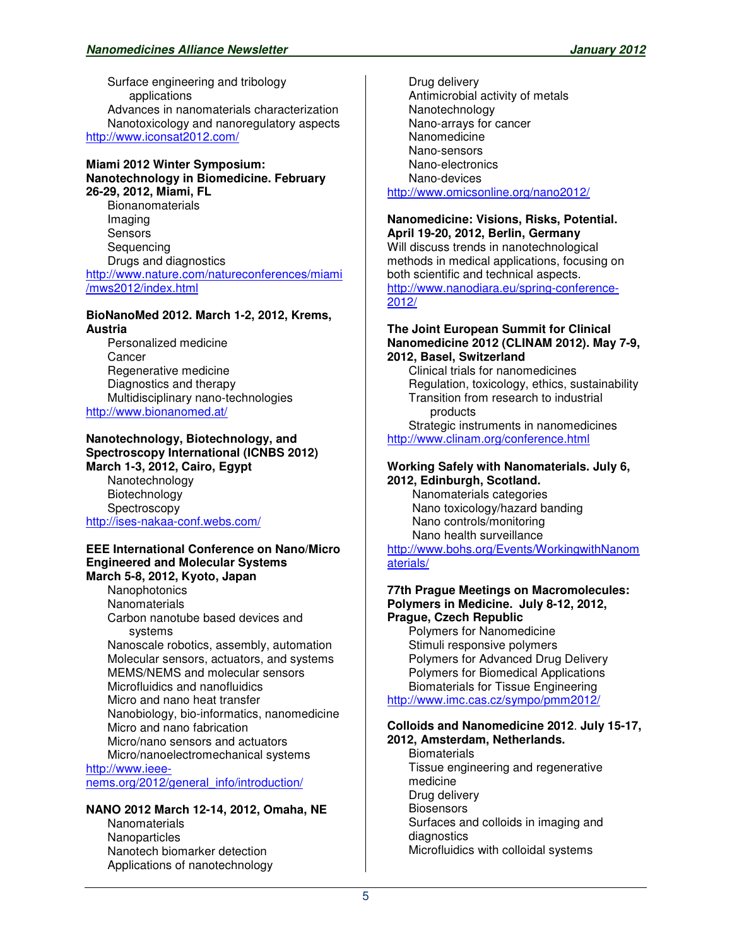Surface engineering and tribology applications Advances in nanomaterials characterization Nanotoxicology and nanoregulatory aspects http://www.iconsat2012.com/

### **Miami 2012 Winter Symposium: Nanotechnology in Biomedicine. February 26-29, 2012, Miami, FL Bionanomaterials**

Imaging **Sensors Sequencing** Drugs and diagnostics http://www.nature.com/natureconferences/miami /mws2012/index.html

### **BioNanoMed 2012. March 1-2, 2012, Krems, Austria**

Personalized medicine **Cancer** Regenerative medicine Diagnostics and therapy Multidisciplinary nano-technologies http://www.bionanomed.at/

#### **Nanotechnology, Biotechnology, and Spectroscopy International (ICNBS 2012) March 1-3, 2012, Cairo, Egypt**

Nanotechnology **Biotechnology Spectroscopy** http://ises-nakaa-conf.webs.com/

#### **EEE International Conference on Nano/Micro Engineered and Molecular Systems March 5-8, 2012, Kyoto, Japan**

Nanophotonics **Nanomaterials** Carbon nanotube based devices and systems Nanoscale robotics, assembly, automation Molecular sensors, actuators, and systems MEMS/NEMS and molecular sensors Microfluidics and nanofluidics Micro and nano heat transfer Nanobiology, bio-informatics, nanomedicine Micro and nano fabrication Micro/nano sensors and actuators Micro/nanoelectromechanical systems

http://www.ieeenems.org/2012/general\_info/introduction/

## **NANO 2012 March 12-14, 2012, Omaha, NE**

**Nanomaterials Nanoparticles** Nanotech biomarker detection Applications of nanotechnology

Drug delivery Antimicrobial activity of metals Nanotechnology Nano-arrays for cancer Nanomedicine Nano-sensors Nano-electronics Nano-devices http://www.omicsonline.org/nano2012/

## **Nanomedicine: Visions, Risks, Potential.**

**April 19-20, 2012, Berlin, Germany** Will discuss trends in nanotechnological methods in medical applications, focusing on both scientific and technical aspects. http://www.nanodiara.eu/spring-conference-2012/

#### **The Joint European Summit for Clinical Nanomedicine 2012 (CLINAM 2012). May 7-9, 2012, Basel, Switzerland**

Clinical trials for nanomedicines Regulation, toxicology, ethics, sustainability Transition from research to industrial products

Strategic instruments in nanomedicines http://www.clinam.org/conference.html

#### **Working Safely with Nanomaterials. July 6, 2012, Edinburgh, Scotland.**

 Nanomaterials categories Nano toxicology/hazard banding Nano controls/monitoring Nano health surveillance

http://www.bohs.org/Events/WorkingwithNanom aterials/

#### **77th Prague Meetings on Macromolecules: Polymers in Medicine. July 8-12, 2012, Prague, Czech Republic**

Polymers for Nanomedicine Stimuli responsive polymers Polymers for Advanced Drug Delivery Polymers for Biomedical Applications Biomaterials for Tissue Engineering http://www.imc.cas.cz/sympo/pmm2012/

#### **Colloids and Nanomedicine 2012**. **July 15-17, 2012, Amsterdam, Netherlands.**

**Biomaterials** Tissue engineering and regenerative medicine Drug delivery **Biosensors** Surfaces and colloids in imaging and diagnostics Microfluidics with colloidal systems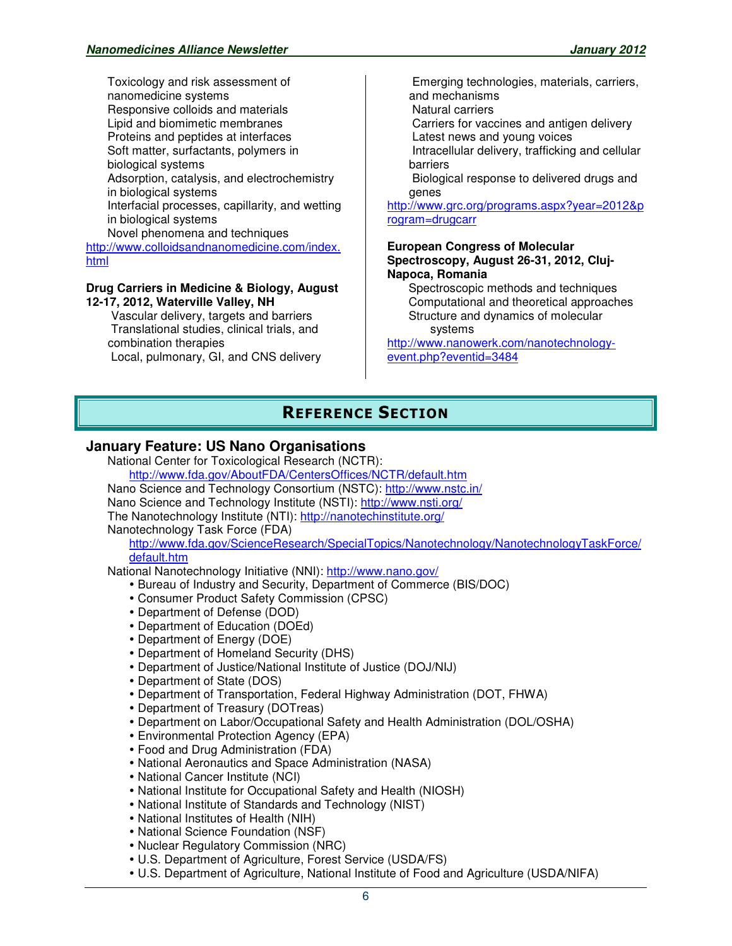Toxicology and risk assessment of nanomedicine systems Responsive colloids and materials Lipid and biomimetic membranes Proteins and peptides at interfaces Soft matter, surfactants, polymers in biological systems Adsorption, catalysis, and electrochemistry in biological systems Interfacial processes, capillarity, and wetting in biological systems Novel phenomena and techniques http://www.colloidsandnanomedicine.com/index. html

#### **Drug Carriers in Medicine & Biology, August 12-17, 2012, Waterville Valley, NH**

 Vascular delivery, targets and barriers Translational studies, clinical trials, and combination therapies Local, pulmonary, GI, and CNS delivery

 Emerging technologies, materials, carriers, and mechanisms

Natural carriers

Carriers for vaccines and antigen delivery

Latest news and young voices

 Intracellular delivery, trafficking and cellular barriers

 Biological response to delivered drugs and genes

http://www.grc.org/programs.aspx?year=2012&p rogram=drugcarr

#### **European Congress of Molecular Spectroscopy, August 26-31, 2012, Cluj-Napoca, Romania**

Spectroscopic methods and techniques Computational and theoretical approaches Structure and dynamics of molecular systems

http://www.nanowerk.com/nanotechnologyevent.php?eventid=3484

# **REFERENCE SECTION**

## **January Feature: US Nano Organisations**

National Center for Toxicological Research (NCTR):

http://www.fda.gov/AboutFDA/CentersOffices/NCTR/default.htm Nano Science and Technology Consortium (NSTC): http://www.nstc.in/ Nano Science and Technology Institute (NSTI): http://www.nsti.org/ The Nanotechnology Institute (NTI): http://nanotechinstitute.org/ Nanotechnology Task Force (FDA)

http://www.fda.gov/ScienceResearch/SpecialTopics/Nanotechnology/NanotechnologyTaskForce/ default.htm

National Nanotechnology Initiative (NNI): http://www.nano.gov/

- Bureau of Industry and Security, Department of Commerce (BIS/DOC)
- Consumer Product Safety Commission (CPSC)
- Department of Defense (DOD)
- Department of Education (DOEd)
- Department of Energy (DOE)
- Department of Homeland Security (DHS)
- Department of Justice/National Institute of Justice (DOJ/NIJ)
- Department of State (DOS)
- Department of Transportation, Federal Highway Administration (DOT, FHWA)
- Department of Treasury (DOTreas)
- Department on Labor/Occupational Safety and Health Administration (DOL/OSHA)
- Environmental Protection Agency (EPA)
- Food and Drug Administration (FDA)
- National Aeronautics and Space Administration (NASA)
- National Cancer Institute (NCI)
- National Institute for Occupational Safety and Health (NIOSH)
- National Institute of Standards and Technology (NIST)
- National Institutes of Health (NIH)
- National Science Foundation (NSF)
- Nuclear Regulatory Commission (NRC)
- U.S. Department of Agriculture, Forest Service (USDA/FS)
- U.S. Department of Agriculture, National Institute of Food and Agriculture (USDA/NIFA)